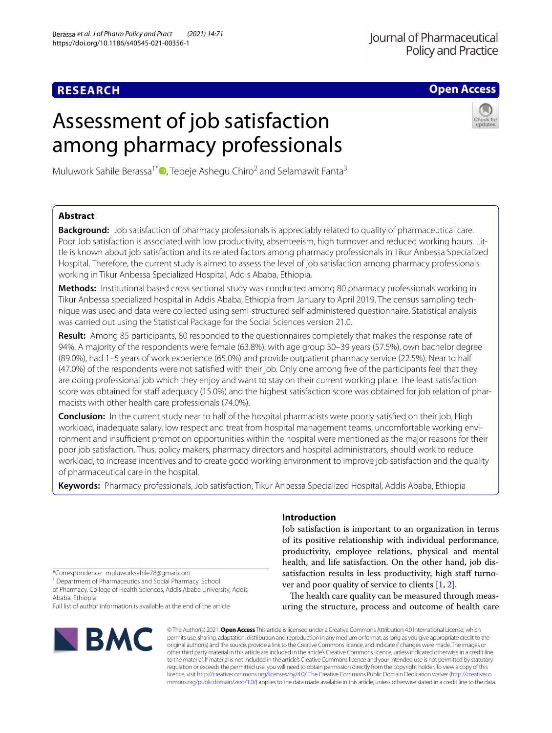**Open Access**

# Assessment of job satisfaction among pharmacy professionals



Muluwork Sahile Berassa<sup>1\*</sup><sup>(a)</sup>[,](http://orcid.org/0000-0003-1901-5926) Tebeje Ashegu Chiro<sup>2</sup> and Selamawit Fanta<sup>3</sup>

# **Abstract**

**Background:** Job satisfaction of pharmacy professionals is appreciably related to quality of pharmaceutical care. Poor Job satisfaction is associated with low productivity, absenteeism, high turnover and reduced working hours. Little is known about job satisfaction and its related factors among pharmacy professionals in Tikur Anbessa Specialized Hospital. Therefore, the current study is aimed to assess the level of job satisfaction among pharmacy professionals working in Tikur Anbessa Specialized Hospital, Addis Ababa, Ethiopia.

**Methods:** Institutional based cross sectional study was conducted among 80 pharmacy professionals working in Tikur Anbessa specialized hospital in Addis Ababa, Ethiopia from January to April 2019. The census sampling technique was used and data were collected using semi-structured self-administered questionnaire. Statistical analysis was carried out using the Statistical Package for the Social Sciences version 21.0.

**Result:** Among 85 participants, 80 responded to the questionnaires completely that makes the response rate of 94%. A majority of the respondents were female (63.8%), with age group 30–39 years (57.5%), own bachelor degree (89.0%), had 1–5 years of work experience (65.0%) and provide outpatient pharmacy service (22.5%). Near to half (47.0%) of the respondents were not satisfed with their job. Only one among fve of the participants feel that they are doing professional job which they enjoy and want to stay on their current working place. The least satisfaction score was obtained for staff adequacy (15.0%) and the highest satisfaction score was obtained for job relation of pharmacists with other health care professionals (74.0%).

**Conclusion:** In the current study near to half of the hospital pharmacists were poorly satisfied on their job. High workload, inadequate salary, low respect and treat from hospital management teams, uncomfortable working environment and insufficient promotion opportunities within the hospital were mentioned as the major reasons for their poor job satisfaction. Thus, policy makers, pharmacy directors and hospital administrators, should work to reduce workload, to increase incentives and to create good working environment to improve job satisfaction and the quality of pharmaceutical care in the hospital.

**Keywords:** Pharmacy professionals, Job satisfaction, Tikur Anbessa Specialized Hospital, Addis Ababa, Ethiopia

\*Correspondence: muluworksahile78@gmail.com

<sup>1</sup> Department of Pharmaceutics and Social Pharmacy, School

of Pharmacy, College of Health Sciences, Addis Ababa University, Addis Ababa, Ethiopia

Full list of author information is available at the end of the article



# **Introduction**

Job satisfaction is important to an organization in terms of its positive relationship with individual performance, productivity, employee relations, physical and mental health, and life satisfaction. On the other hand, job dissatisfaction results in less productivity, high staff turnover and poor quality of service to clients [\[1](#page-5-0), [2\]](#page-5-1).

The health care quality can be measured through measuring the structure, process and outcome of health care

© The Author(s) 2021. **Open Access** This article is licensed under a Creative Commons Attribution 4.0 International License, which permits use, sharing, adaptation, distribution and reproduction in any medium or format, as long as you give appropriate credit to the original author(s) and the source, provide a link to the Creative Commons licence, and indicate if changes were made. The images or other third party material in this article are included in the article's Creative Commons licence, unless indicated otherwise in a credit line to the material. If material is not included in the article's Creative Commons licence and your intended use is not permitted by statutory regulation or exceeds the permitted use, you will need to obtain permission directly from the copyright holder. To view a copy of this licence, visit [http://creativecommons.org/licenses/by/4.0/.](http://creativecommons.org/licenses/by/4.0/) The Creative Commons Public Domain Dedication waiver ([http://creativeco](http://creativecommons.org/publicdomain/zero/1.0/) [mmons.org/publicdomain/zero/1.0/](http://creativecommons.org/publicdomain/zero/1.0/)) applies to the data made available in this article, unless otherwise stated in a credit line to the data.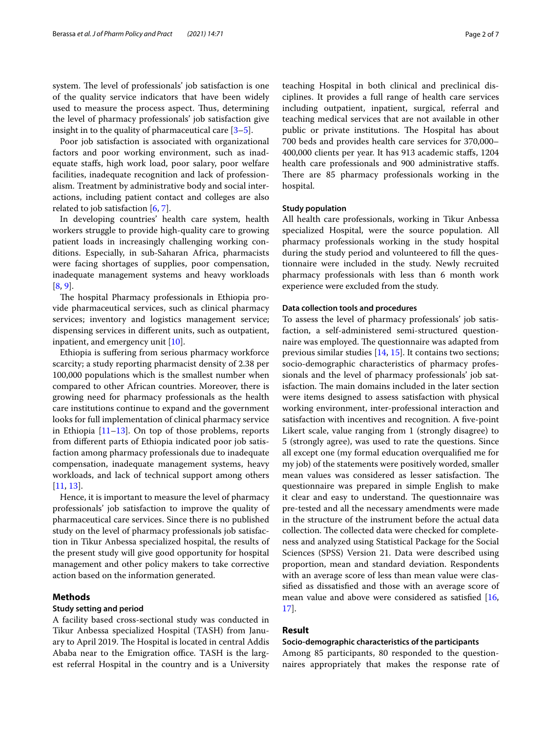system. The level of professionals' job satisfaction is one of the quality service indicators that have been widely used to measure the process aspect. Thus, determining the level of pharmacy professionals' job satisfaction give insight in to the quality of pharmaceutical care  $[3-5]$  $[3-5]$ .

Poor job satisfaction is associated with organizational factors and poor working environment, such as inadequate stafs, high work load, poor salary, poor welfare facilities, inadequate recognition and lack of professionalism. Treatment by administrative body and social interactions, including patient contact and colleges are also related to job satisfaction  $[6, 7]$  $[6, 7]$  $[6, 7]$  $[6, 7]$ .

In developing countries' health care system, health workers struggle to provide high-quality care to growing patient loads in increasingly challenging working conditions. Especially, in sub-Saharan Africa, pharmacists were facing shortages of supplies, poor compensation, inadequate management systems and heavy workloads [[8,](#page-5-6) [9](#page-5-7)].

The hospital Pharmacy professionals in Ethiopia provide pharmaceutical services, such as clinical pharmacy services; inventory and logistics management service; dispensing services in diferent units, such as outpatient, inpatient, and emergency unit [[10](#page-5-8)].

Ethiopia is sufering from serious pharmacy workforce scarcity; a study reporting pharmacist density of 2.38 per 100,000 populations which is the smallest number when compared to other African countries. Moreover, there is growing need for pharmacy professionals as the health care institutions continue to expand and the government looks for full implementation of clinical pharmacy service in Ethiopia  $[11-13]$  $[11-13]$  $[11-13]$ . On top of those problems, reports from diferent parts of Ethiopia indicated poor job satisfaction among pharmacy professionals due to inadequate compensation, inadequate management systems, heavy workloads, and lack of technical support among others [[11,](#page-5-9) [13](#page-5-10)].

Hence, it is important to measure the level of pharmacy professionals' job satisfaction to improve the quality of pharmaceutical care services. Since there is no published study on the level of pharmacy professionals job satisfaction in Tikur Anbessa specialized hospital, the results of the present study will give good opportunity for hospital management and other policy makers to take corrective action based on the information generated.

## **Methods**

#### **Study setting and period**

A facility based cross-sectional study was conducted in Tikur Anbessa specialized Hospital (TASH) from January to April 2019. The Hospital is located in central Addis Ababa near to the Emigration office. TASH is the largest referral Hospital in the country and is a University teaching Hospital in both clinical and preclinical disciplines. It provides a full range of health care services including outpatient, inpatient, surgical, referral and teaching medical services that are not available in other public or private institutions. The Hospital has about 700 beds and provides health care services for 370,000– 400,000 clients per year. It has 913 academic stafs, 1204 health care professionals and 900 administrative stafs. There are 85 pharmacy professionals working in the hospital.

#### **Study population**

All health care professionals, working in Tikur Anbessa specialized Hospital, were the source population. All pharmacy professionals working in the study hospital during the study period and volunteered to fll the questionnaire were included in the study. Newly recruited pharmacy professionals with less than 6 month work experience were excluded from the study.

## **Data collection tools and procedures**

To assess the level of pharmacy professionals' job satisfaction, a self-administered semi-structured questionnaire was employed. The questionnaire was adapted from previous similar studies [\[14,](#page-5-11) [15](#page-5-12)]. It contains two sections; socio-demographic characteristics of pharmacy professionals and the level of pharmacy professionals' job satisfaction. The main domains included in the later section were items designed to assess satisfaction with physical working environment, inter-professional interaction and satisfaction with incentives and recognition. A fve-point Likert scale, value ranging from 1 (strongly disagree) to 5 (strongly agree), was used to rate the questions. Since all except one (my formal education overqualifed me for my job) of the statements were positively worded, smaller mean values was considered as lesser satisfaction. The questionnaire was prepared in simple English to make it clear and easy to understand. The questionnaire was pre-tested and all the necessary amendments were made in the structure of the instrument before the actual data collection. The collected data were checked for completeness and analyzed using Statistical Package for the Social Sciences (SPSS) Version 21. Data were described using proportion, mean and standard deviation. Respondents with an average score of less than mean value were classifed as dissatisfed and those with an average score of mean value and above were considered as satisfed [[16](#page-5-13), [17\]](#page-5-14).

## **Result**

#### **Socio‑demographic characteristics of the participants**

Among 85 participants, 80 responded to the questionnaires appropriately that makes the response rate of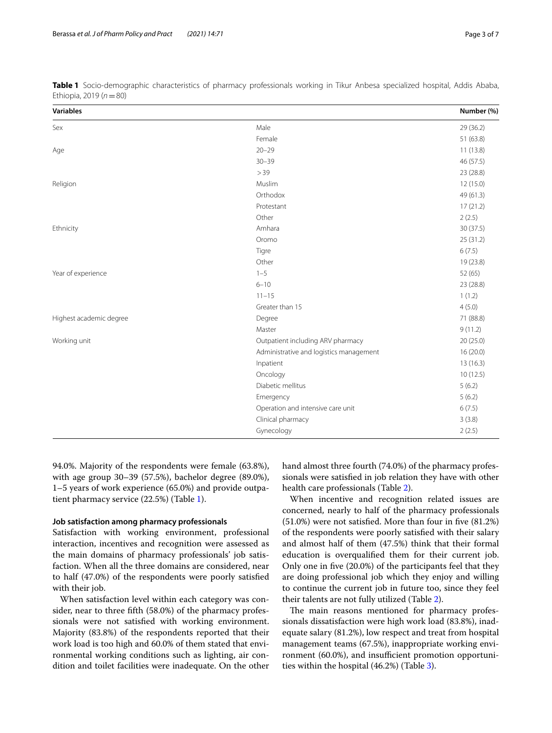| <b>Variables</b>        |                                         | Number (%) |
|-------------------------|-----------------------------------------|------------|
| Sex                     | Male                                    | 29 (36.2)  |
|                         | Female                                  | 51 (63.8)  |
| Age                     | $20 - 29$                               | 11(13.8)   |
|                         | $30 - 39$                               | 46 (57.5)  |
|                         | >39                                     | 23 (28.8)  |
| Religion                | Muslim                                  | 12(15.0)   |
|                         | Orthodox                                | 49 (61.3)  |
|                         | Protestant                              | 17(21.2)   |
|                         | Other                                   | 2(2.5)     |
| Ethnicity               | Amhara                                  | 30(37.5)   |
|                         | Oromo                                   | 25(31.2)   |
|                         | Tigre                                   | 6(7.5)     |
|                         | Other                                   | 19 (23.8)  |
| Year of experience      | $1 - 5$                                 | 52 (65)    |
|                         | $6 - 10$                                | 23 (28.8)  |
|                         | $11 - 15$                               | 1(1.2)     |
|                         | Greater than 15                         | 4(5.0)     |
| Highest academic degree | Degree                                  | 71 (88.8)  |
|                         | Master                                  | 9(11.2)    |
| Working unit            | Outpatient including ARV pharmacy       | 20(25.0)   |
|                         | Administrative and logistics management | 16 (20.0)  |
|                         | Inpatient                               | 13 (16.3)  |
|                         | Oncology                                | 10(12.5)   |
|                         | Diabetic mellitus                       | 5(6.2)     |
|                         | Emergency                               | 5(6.2)     |
|                         | Operation and intensive care unit       | 6(7.5)     |
|                         | Clinical pharmacy                       | 3(3.8)     |
|                         | Gynecology                              | 2(2.5)     |
|                         |                                         |            |

<span id="page-2-0"></span>**Table 1** Socio-demographic characteristics of pharmacy professionals working in Tikur Anbesa specialized hospital, Addis Ababa, Ethiopia, 2019 (*n*=80)

94.0%. Majority of the respondents were female (63.8%), with age group 30–39 (57.5%), bachelor degree (89.0%), 1–5 years of work experience (65.0%) and provide outpatient pharmacy service (22.5%) (Table [1](#page-2-0)).

## **Job satisfaction among pharmacy professionals**

Satisfaction with working environment, professional interaction, incentives and recognition were assessed as the main domains of pharmacy professionals' job satisfaction. When all the three domains are considered, near to half (47.0%) of the respondents were poorly satisfed with their job.

When satisfaction level within each category was consider, near to three ffth (58.0%) of the pharmacy professionals were not satisfed with working environment. Majority (83.8%) of the respondents reported that their work load is too high and 60.0% of them stated that environmental working conditions such as lighting, air condition and toilet facilities were inadequate. On the other hand almost three fourth (74.0%) of the pharmacy professionals were satisfed in job relation they have with other health care professionals (Table [2](#page-3-0)).

When incentive and recognition related issues are concerned, nearly to half of the pharmacy professionals (51.0%) were not satisfed. More than four in fve (81.2%) of the respondents were poorly satisfed with their salary and almost half of them (47.5%) think that their formal education is overqualifed them for their current job. Only one in fve (20.0%) of the participants feel that they are doing professional job which they enjoy and willing to continue the current job in future too, since they feel their talents are not fully utilized (Table [2](#page-3-0)).

The main reasons mentioned for pharmacy professionals dissatisfaction were high work load (83.8%), inadequate salary (81.2%), low respect and treat from hospital management teams (67.5%), inappropriate working environment (60.0%), and insufficient promotion opportunities within the hospital (46.2%) (Table [3](#page-3-1)).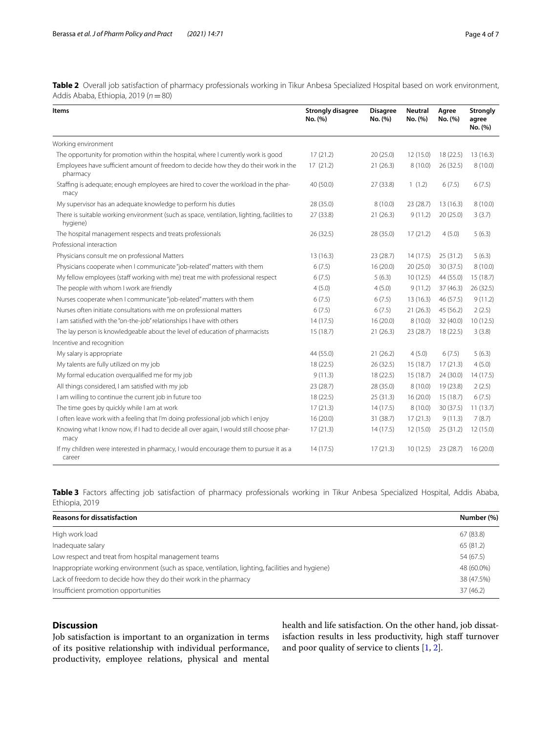<span id="page-3-0"></span>**Table 2** Overall job satisfaction of pharmacy professionals working in Tikur Anbesa Specialized Hospital based on work environment, Addis Ababa, Ethiopia, 2019 (*n*=80)

| Items                                                                                                  | <b>Strongly disagree</b><br>No. (%) | <b>Disagree</b><br>No. (%) | <b>Neutral</b><br>No. (%) | Agree<br>No. (%) | <b>Strongly</b><br>agree<br>No. (%) |
|--------------------------------------------------------------------------------------------------------|-------------------------------------|----------------------------|---------------------------|------------------|-------------------------------------|
| Working environment                                                                                    |                                     |                            |                           |                  |                                     |
| The opportunity for promotion within the hospital, where I currently work is good                      | 17(21.2)                            | 20(25.0)                   | 12(15.0)                  | 18(22.5)         | 13(16.3)                            |
| Employees have sufficient amount of freedom to decide how they do their work in the<br>pharmacy        | 17(21.2)                            | 21(26.3)                   | 8(10.0)                   | 26(32.5)         | 8(10.0)                             |
| Staffing is adequate; enough employees are hired to cover the workload in the phar-<br>macy            | 40 (50.0)                           | 27 (33.8)                  | 1(1.2)                    | 6(7.5)           | 6(7.5)                              |
| My supervisor has an adequate knowledge to perform his duties                                          | 28 (35.0)                           | 8(10.0)                    | 23(28.7)                  | 13(16.3)         | 8(10.0)                             |
| There is suitable working environment (such as space, ventilation, lighting, facilities to<br>hygiene) | 27(33.8)                            | 21(26.3)                   | 9(11.2)                   | 20(25.0)         | 3(3.7)                              |
| The hospital management respects and treats professionals                                              | 26(32.5)                            | 28 (35.0)                  | 17(21.2)                  | 4(5.0)           | 5(6.3)                              |
| Professional interaction                                                                               |                                     |                            |                           |                  |                                     |
| Physicians consult me on professional Matters                                                          | 13(16.3)                            | 23 (28.7)                  | 14(17.5)                  | 25(31.2)         | 5(6.3)                              |
| Physicians cooperate when I communicate "job-related" matters with them                                | 6(7.5)                              | 16(20.0)                   | 20(25.0)                  | 30 (37.5)        | 8(10.0)                             |
| My fellow employees (staff working with me) treat me with professional respect                         | 6(7.5)                              | 5(6.3)                     | 10(12.5)                  | 44 (55.0)        | 15(18.7)                            |
| The people with whom I work are friendly                                                               | 4(5.0)                              | 4(5.0)                     | 9(11.2)                   | 37(46.3)         | 26(32.5)                            |
| Nurses cooperate when I communicate "job-related" matters with them                                    | 6(7.5)                              | 6(7.5)                     | 13(16.3)                  | 46 (57.5)        | 9(11.2)                             |
| Nurses often initiate consultations with me on professional matters                                    | 6(7.5)                              | 6(7.5)                     | 21(26.3)                  | 45 (56.2)        | 2(2.5)                              |
| I am satisfied with the "on-the-job" relationships I have with others                                  | 14(17.5)                            | 16(20.0)                   | 8(10.0)                   | 32 (40.0)        | 10(12.5)                            |
| The lay person is knowledgeable about the level of education of pharmacists                            | 15 (18.7)                           | 21(26.3)                   | 23 (28.7)                 | 18 (22.5)        | 3(3.8)                              |
| Incentive and recognition                                                                              |                                     |                            |                           |                  |                                     |
| My salary is appropriate                                                                               | 44 (55.0)                           | 21(26.2)                   | 4(5.0)                    | 6(7.5)           | 5(6.3)                              |
| My talents are fully utilized on my job                                                                | 18(22.5)                            | 26 (32.5)                  | 15 (18.7)                 | 17(21.3)         | 4(5.0)                              |
| My formal education overqualified me for my job                                                        | 9(11.3)                             | 18(22.5)                   | 15(18.7)                  | 24 (30.0)        | 14(17.5)                            |
| All things considered, I am satisfied with my job                                                      | 23(28.7)                            | 28 (35.0)                  | 8(10.0)                   | 19 (23.8)        | 2(2.5)                              |
| I am willing to continue the current job in future too                                                 | 18(22.5)                            | 25(31.3)                   | 16 (20.0)                 | 15(18.7)         | 6(7.5)                              |
| The time goes by quickly while I am at work                                                            | 17(21.3)                            | 14(17.5)                   | 8(10.0)                   | 30 (37.5)        | 11(13.7)                            |
| I often leave work with a feeling that I'm doing professional job which I enjoy                        | 16(20.0)                            | 31 (38.7)                  | 17(21.3)                  | 9(11.3)          | 7(8.7)                              |
| Knowing what I know now, if I had to decide all over again, I would still choose phar-<br>macy         | 17(21.3)                            | 14(17.5)                   | 12 (15.0)                 | 25 (31.2)        | 12(15.0)                            |
| If my children were interested in pharmacy, I would encourage them to pursue it as a<br>career         | 14(17.5)                            | 17(21.3)                   | 10(12.5)                  | 23 (28.7)        | 16(20.0)                            |

<span id="page-3-1"></span>**Table 3** Factors afecting job satisfaction of pharmacy professionals working in Tikur Anbesa Specialized Hospital, Addis Ababa, Ethiopia, 2019

| <b>Reasons for dissatisfaction</b>                                                               | Number (%) |  |  |
|--------------------------------------------------------------------------------------------------|------------|--|--|
| High work load                                                                                   | 67(83.8)   |  |  |
| Inadequate salary                                                                                | 65 (81.2)  |  |  |
| Low respect and treat from hospital management teams                                             | 54 (67.5)  |  |  |
| Inappropriate working environment (such as space, ventilation, lighting, facilities and hygiene) | 48 (60.0%) |  |  |
| Lack of freedom to decide how they do their work in the pharmacy                                 | 38 (47.5%) |  |  |
| Insufficient promotion opportunities                                                             | 37(46.2)   |  |  |

## **Discussion**

Job satisfaction is important to an organization in terms of its positive relationship with individual performance, productivity, employee relations, physical and mental

health and life satisfaction. On the other hand, job dissatisfaction results in less productivity, high staff turnover and poor quality of service to clients [\[1](#page-5-0), [2\]](#page-5-1).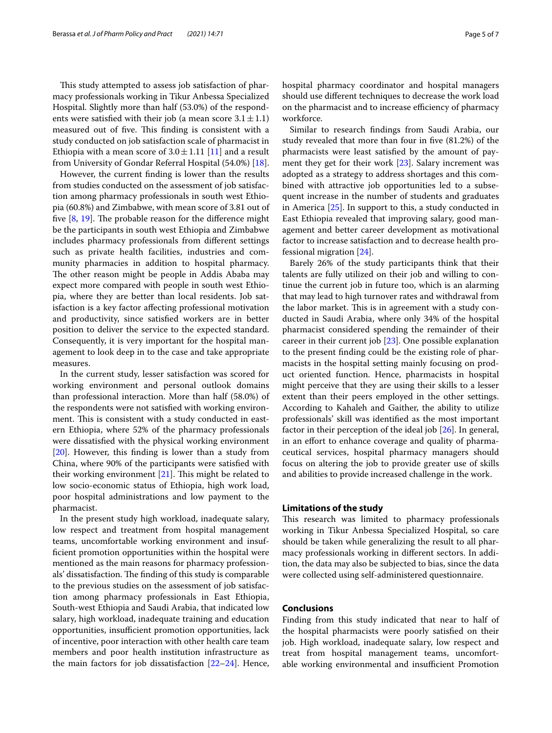This study attempted to assess job satisfaction of pharmacy professionals working in Tikur Anbessa Specialized Hospital. Slightly more than half (53.0%) of the respondents were satisfied with their job (a mean score  $3.1 \pm 1.1$ ) measured out of five. This finding is consistent with a study conducted on job satisfaction scale of pharmacist in Ethiopia with a mean score of  $3.0 \pm 1.11$  [[11\]](#page-5-9) and a result from University of Gondar Referral Hospital (54.0%) [\[18](#page-5-15)].

However, the current fnding is lower than the results from studies conducted on the assessment of job satisfaction among pharmacy professionals in south west Ethiopia (60.8%) and Zimbabwe, with mean score of 3.81 out of five  $[8, 19]$  $[8, 19]$  $[8, 19]$  $[8, 19]$ . The probable reason for the difference might be the participants in south west Ethiopia and Zimbabwe includes pharmacy professionals from diferent settings such as private health facilities, industries and community pharmacies in addition to hospital pharmacy. The other reason might be people in Addis Ababa may expect more compared with people in south west Ethiopia, where they are better than local residents. Job satisfaction is a key factor afecting professional motivation and productivity, since satisfed workers are in better position to deliver the service to the expected standard. Consequently, it is very important for the hospital management to look deep in to the case and take appropriate measures.

In the current study, lesser satisfaction was scored for working environment and personal outlook domains than professional interaction. More than half (58.0%) of the respondents were not satisfed with working environment. This is consistent with a study conducted in eastern Ethiopia, where 52% of the pharmacy professionals were dissatisfed with the physical working environment [[20\]](#page-5-17). However, this fnding is lower than a study from China, where 90% of the participants were satisfed with their working environment  $[21]$  $[21]$ . This might be related to low socio-economic status of Ethiopia, high work load, poor hospital administrations and low payment to the pharmacist.

In the present study high workload, inadequate salary, low respect and treatment from hospital management teams, uncomfortable working environment and insuffcient promotion opportunities within the hospital were mentioned as the main reasons for pharmacy professionals' dissatisfaction. The finding of this study is comparable to the previous studies on the assessment of job satisfaction among pharmacy professionals in East Ethiopia, South-west Ethiopia and Saudi Arabia, that indicated low salary, high workload, inadequate training and education opportunities, insufficient promotion opportunities, lack of incentive, poor interaction with other health care team members and poor health institution infrastructure as the main factors for job dissatisfaction  $[22-24]$  $[22-24]$ . Hence, hospital pharmacy coordinator and hospital managers should use diferent techniques to decrease the work load on the pharmacist and to increase efficiency of pharmacy workforce.

Similar to research fndings from Saudi Arabia, our study revealed that more than four in fve (81.2%) of the pharmacists were least satisfed by the amount of payment they get for their work [[23\]](#page-5-21). Salary increment was adopted as a strategy to address shortages and this combined with attractive job opportunities led to a subsequent increase in the number of students and graduates in America [[25](#page-6-0)]. In support to this, a study conducted in East Ethiopia revealed that improving salary, good management and better career development as motivational factor to increase satisfaction and to decrease health professional migration [\[24\]](#page-5-20).

Barely 26% of the study participants think that their talents are fully utilized on their job and willing to continue the current job in future too, which is an alarming that may lead to high turnover rates and withdrawal from the labor market. This is in agreement with a study conducted in Saudi Arabia, where only 34% of the hospital pharmacist considered spending the remainder of their career in their current job [\[23](#page-5-21)]. One possible explanation to the present fnding could be the existing role of pharmacists in the hospital setting mainly focusing on product oriented function. Hence, pharmacists in hospital might perceive that they are using their skills to a lesser extent than their peers employed in the other settings. According to Kahaleh and Gaither, the ability to utilize professionals' skill was identifed as the most important factor in their perception of the ideal job [\[26](#page-6-1)]. In general, in an efort to enhance coverage and quality of pharmaceutical services, hospital pharmacy managers should focus on altering the job to provide greater use of skills and abilities to provide increased challenge in the work.

#### **Limitations of the study**

This research was limited to pharmacy professionals working in Tikur Anbessa Specialized Hospital, so care should be taken while generalizing the result to all pharmacy professionals working in diferent sectors. In addition, the data may also be subjected to bias, since the data were collected using self-administered questionnaire.

## **Conclusions**

Finding from this study indicated that near to half of the hospital pharmacists were poorly satisfed on their job. High workload, inadequate salary, low respect and treat from hospital management teams, uncomfortable working environmental and insufficient Promotion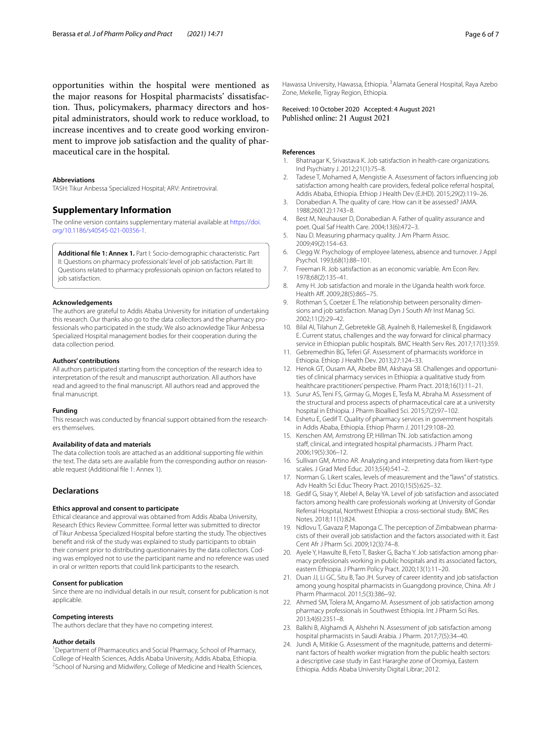opportunities within the hospital were mentioned as the major reasons for Hospital pharmacists' dissatisfaction. Thus, policymakers, pharmacy directors and hospital administrators, should work to reduce workload, to increase incentives and to create good working environment to improve job satisfaction and the quality of pharmaceutical care in the hospital.

#### **Abbreviations**

TASH: Tikur Anbessa Specialized Hospital; ARV: Antiretroviral.

#### **Supplementary Information**

The online version contains supplementary material available at [https://doi.](https://doi.org/10.1186/s40545-021-00356-1) [org/10.1186/s40545-021-00356-1](https://doi.org/10.1186/s40545-021-00356-1).

<span id="page-5-22"></span>**Additional fle 1: Annex 1.** Part I: Socio-demographic characteristic. Part II: Questions on pharmacy professionals' level of job satisfaction. Part III: Questions related to pharmacy professionals opinion on factors related to job satisfaction.

#### **Acknowledgements**

The authors are grateful to Addis Ababa University for initiation of undertaking this research. Our thanks also go to the data collectors and the pharmacy professionals who participated in the study. We also acknowledge Tikur Anbessa Specialized Hospital management bodies for their cooperation during the data collection period.

#### **Authors' contributions**

All authors participated starting from the conception of the research idea to interpretation of the result and manuscript authorization. All authors have read and agreed to the fnal manuscript. All authors read and approved the final manuscript.

#### **Funding**

This research was conducted by fnancial support obtained from the researchers themselves.

#### **Availability of data and materials**

The data collection tools are attached as an additional supporting fle within the text. The data sets are available from the corresponding author on reasonable request (Additional fle [1:](#page-5-22) Annex 1).

## **Declarations**

#### **Ethics approval and consent to participate**

Ethical clearance and approval was obtained from Addis Ababa University, Research Ethics Review Committee. Formal letter was submitted to director of Tikur Anbessa Specialized Hospital before starting the study. The objectives beneft and risk of the study was explained to study participants to obtain their consent prior to distributing questionnaires by the data collectors. Coding was employed not to use the participant name and no reference was used in oral or written reports that could link participants to the research.

#### **Consent for publication**

Since there are no individual details in our result, consent for publication is not applicable.

#### **Competing interests**

The authors declare that they have no competing interest.

#### **Author details**

<sup>1</sup> Department of Pharmaceutics and Social Pharmacy, School of Pharmacy, College of Health Sciences, Addis Ababa University, Addis Ababa, Ethiopia. 2 <sup>2</sup>School of Nursing and Midwifery, College of Medicine and Health Sciences, Hawassa University, Hawassa, Ethiopia. <sup>3</sup> Alamata General Hospital, Raya Azebo Zone, Mekelle, Tigray Region, Ethiopia.

Received: 10 October 2020 Accepted: 4 August 2021

### **References**

- <span id="page-5-0"></span>Bhatnagar K, Srivastava K. Job satisfaction in health-care organizations. Ind Psychiatry J. 2012;21(1):75–8.
- <span id="page-5-1"></span>2. Tadese T, Mohamed A, Mengistie A. Assessment of factors infuencing job satisfaction among health care providers, federal police referral hospital, Addis Ababa, Ethiopia. Ethiop J Health Dev (EJHD). 2015;29(2):119–26.
- <span id="page-5-2"></span>3. Donabedian A. The quality of care. How can it be assessed? JAMA. 1988;260(12):1743–8.
- 4. Best M, Neuhauser D, Donabedian A. Father of quality assurance and poet. Qual Saf Health Care. 2004;13(6):472–3.
- <span id="page-5-3"></span>5. Nau D. Measuring pharmacy quality. J Am Pharm Assoc. 2009;49(2):154–63.
- <span id="page-5-4"></span>6. Clegg W. Psychology of employee lateness, absence and turnover. J Appl Psychol. 1993;68(1):88–101.
- <span id="page-5-5"></span>7. Freeman R. Job satisfaction as an economic variable. Am Econ Rev. 1978;68(2):135–41.
- <span id="page-5-6"></span>8. Amy H. Job satisfaction and morale in the Uganda health work force. Health Aff. 2009;28(5):865-75.
- <span id="page-5-7"></span>9. Rothman S, Coetzer E. The relationship between personality dimensions and job satisfaction. Manag Dyn J South Afr Inst Manag Sci. 2002;11(2):29–42.
- <span id="page-5-8"></span>10. Bilal AI, Tilahun Z, Gebretekle GB, Ayalneh B, Hailemeskel B, Engidawork E. Current status, challenges and the way forward for clinical pharmacy service in Ethiopian public hospitals. BMC Health Serv Res. 2017;17(1):359.
- <span id="page-5-9"></span>11. Gebremedhin BG, Teferi GF. Assessment of pharmacists workforce in Ethiopia. Ethiop J Health Dev. 2013;27:124–33.
- 12. Henok GT, Ousam AA, Abebe BM, Akshaya SB. Challenges and opportunities of clinical pharmacy services in Ethiopia: a qualitative study from healthcare practitioners' perspective. Pharm Pract. 2018;16(1):11–21.
- <span id="page-5-10"></span>13. Surur AS, Teni FS, Girmay G, Moges E, Tesfa M, Abraha M. Assessment of the structural and process aspects of pharmaceutical care at a university hospital in Ethiopia. J Pharm Bioallied Sci. 2015;7(2):97–102.
- <span id="page-5-11"></span>14. Eshetu E, Gedif T. Quality of pharmacy services in government hospitals in Addis Ababa, Ethiopia. Ethiop Pharm J. 2011;29:108–20.
- <span id="page-5-12"></span>15. Kerschen AM, Armstrong EP, Hillman TN. Job satisfaction among staff, clinical, and integrated hospital pharmacists. J Pharm Pract. 2006;19(5):306–12.
- <span id="page-5-13"></span>16. Sullivan GM, Artino AR. Analyzing and interpreting data from likert-type scales. J Grad Med Educ. 2013;5(4):541–2.
- <span id="page-5-14"></span>17. Norman G. Likert scales, levels of measurement and the "laws" of statistics. Adv Health Sci Educ Theory Pract. 2010;15(5):625–32.
- <span id="page-5-15"></span>18. Gedif G, Sisay Y, Alebel A, Belay YA. Level of job satisfaction and associated factors among health care professionals working at University of Gondar Referral Hospital, Northwest Ethiopia: a cross-sectional study. BMC Res Notes. 2018;11(1):824.
- <span id="page-5-16"></span>19. Ndlovu T, Gavaza P, Maponga C. The perception of Zimbabwean pharmacists of their overall job satisfaction and the factors associated with it. East Cent Afr J Pharm Sci. 2009;12(3):74–8.
- <span id="page-5-17"></span>20. Ayele Y, Hawulte B, Feto T, Basker G, Bacha Y. Job satisfaction among pharmacy professionals working in public hospitals and its associated factors, eastern Ethiopia. J Pharm Policy Pract. 2020;13(1):11–20.
- <span id="page-5-18"></span>21. Duan JJ, Li GC, Situ B, Tao JH. Survey of career identity and job satisfaction among young hospital pharmacists in Guangdong province, China. Afr J Pharm Pharmacol. 2011;5(3):386–92.
- <span id="page-5-19"></span>22. Ahmed SM, Tolera M, Angamo M. Assessment of job satisfaction among pharmacy professionals in Southwest Ethiopia. Int J Pharm Sci Res. 2013;4(6):2351–8.
- <span id="page-5-21"></span>23. Balkhi B, Alghamdi A, Alshehri N. Assessment of job satisfaction among hospital pharmacists in Saudi Arabia. J Pharm. 2017;7(5):34–40.
- <span id="page-5-20"></span>24. Jundi A, Mitikie G. Assessment of the magnitude, patterns and determinant factors of health worker migration from the public health sectors: a descriptive case study in East Hararghe zone of Oromiya, Eastern Ethiopia. Addis Ababa University Digital Librar; 2012.